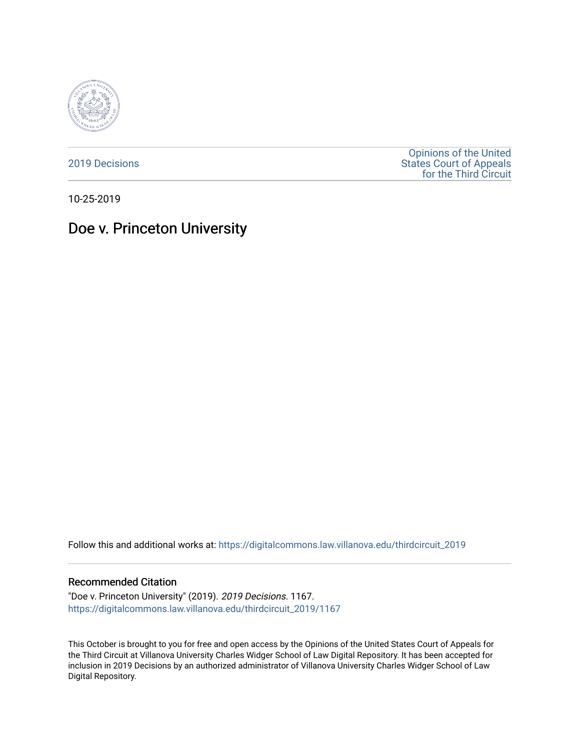

[2019 Decisions](https://digitalcommons.law.villanova.edu/thirdcircuit_2019)

[Opinions of the United](https://digitalcommons.law.villanova.edu/thirdcircuit)  [States Court of Appeals](https://digitalcommons.law.villanova.edu/thirdcircuit)  [for the Third Circuit](https://digitalcommons.law.villanova.edu/thirdcircuit) 

10-25-2019

# Doe v. Princeton University

Follow this and additional works at: [https://digitalcommons.law.villanova.edu/thirdcircuit\\_2019](https://digitalcommons.law.villanova.edu/thirdcircuit_2019?utm_source=digitalcommons.law.villanova.edu%2Fthirdcircuit_2019%2F1167&utm_medium=PDF&utm_campaign=PDFCoverPages) 

#### Recommended Citation

"Doe v. Princeton University" (2019). 2019 Decisions. 1167. [https://digitalcommons.law.villanova.edu/thirdcircuit\\_2019/1167](https://digitalcommons.law.villanova.edu/thirdcircuit_2019/1167?utm_source=digitalcommons.law.villanova.edu%2Fthirdcircuit_2019%2F1167&utm_medium=PDF&utm_campaign=PDFCoverPages) 

This October is brought to you for free and open access by the Opinions of the United States Court of Appeals for the Third Circuit at Villanova University Charles Widger School of Law Digital Repository. It has been accepted for inclusion in 2019 Decisions by an authorized administrator of Villanova University Charles Widger School of Law Digital Repository.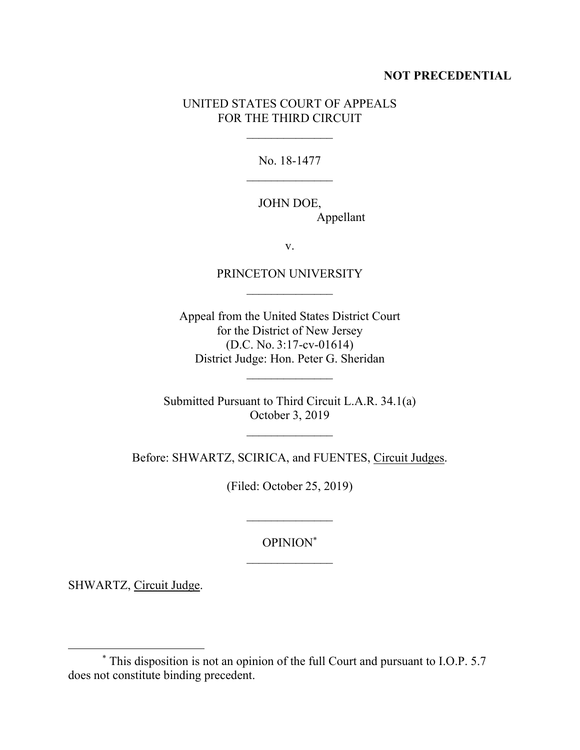#### **NOT PRECEDENTIAL**

## UNITED STATES COURT OF APPEALS FOR THE THIRD CIRCUIT

No. 18-1477

## JOHN DOE, Appellant

v.

## PRINCETON UNIVERSITY  $\frac{1}{2}$

Appeal from the United States District Court for the District of New Jersey (D.C. No. 3:17-cv-01614) District Judge: Hon. Peter G. Sheridan

Submitted Pursuant to Third Circuit L.A.R. 34.1(a) October 3, 2019

Before: SHWARTZ, SCIRICA, and FUENTES, Circuit Judges.

(Filed: October 25, 2019)

OPINION\*

 $\frac{1}{2}$ 

SHWARTZ, Circuit Judge.

<sup>\*</sup> This disposition is not an opinion of the full Court and pursuant to I.O.P. 5.7 does not constitute binding precedent.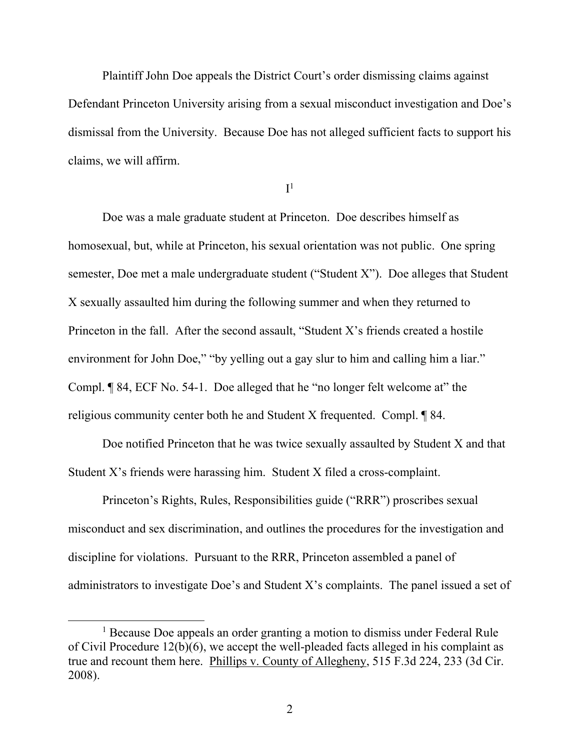Plaintiff John Doe appeals the District Court's order dismissing claims against Defendant Princeton University arising from a sexual misconduct investigation and Doe's dismissal from the University. Because Doe has not alleged sufficient facts to support his claims, we will affirm.

 $\mathrm{I}^1$ 

Doe was a male graduate student at Princeton. Doe describes himself as homosexual, but, while at Princeton, his sexual orientation was not public. One spring semester, Doe met a male undergraduate student ("Student X"). Doe alleges that Student X sexually assaulted him during the following summer and when they returned to Princeton in the fall. After the second assault, "Student X's friends created a hostile environment for John Doe," "by yelling out a gay slur to him and calling him a liar." Compl. ¶ 84, ECF No. 54-1. Doe alleged that he "no longer felt welcome at" the religious community center both he and Student X frequented. Compl. ¶ 84.

Doe notified Princeton that he was twice sexually assaulted by Student X and that Student X's friends were harassing him. Student X filed a cross-complaint.

Princeton's Rights, Rules, Responsibilities guide ("RRR") proscribes sexual misconduct and sex discrimination, and outlines the procedures for the investigation and discipline for violations. Pursuant to the RRR, Princeton assembled a panel of administrators to investigate Doe's and Student X's complaints. The panel issued a set of

<sup>&</sup>lt;sup>1</sup> Because Doe appeals an order granting a motion to dismiss under Federal Rule of Civil Procedure 12(b)(6), we accept the well-pleaded facts alleged in his complaint as true and recount them here. Phillips v. County of Allegheny, 515 F.3d 224, 233 (3d Cir. 2008).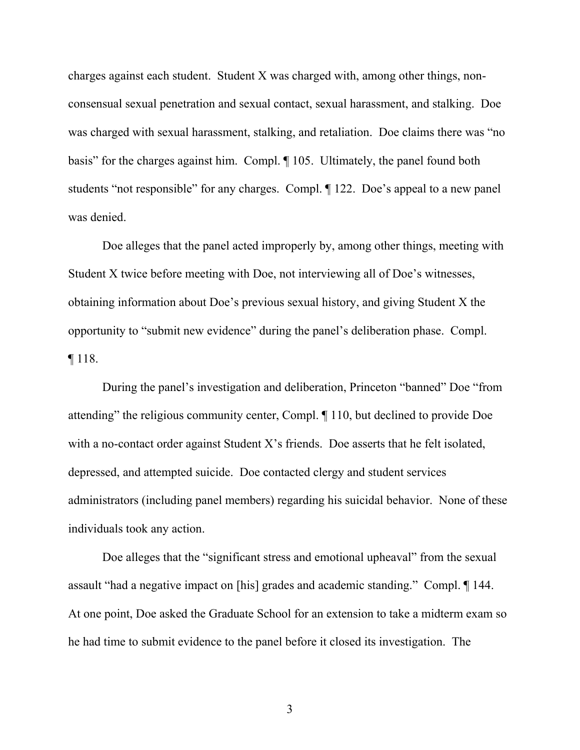charges against each student. Student X was charged with, among other things, nonconsensual sexual penetration and sexual contact, sexual harassment, and stalking. Doe was charged with sexual harassment, stalking, and retaliation. Doe claims there was "no basis" for the charges against him. Compl. ¶ 105. Ultimately, the panel found both students "not responsible" for any charges. Compl. ¶ 122. Doe's appeal to a new panel was denied.

Doe alleges that the panel acted improperly by, among other things, meeting with Student X twice before meeting with Doe, not interviewing all of Doe's witnesses, obtaining information about Doe's previous sexual history, and giving Student X the opportunity to "submit new evidence" during the panel's deliberation phase. Compl. ¶ 118.

During the panel's investigation and deliberation, Princeton "banned" Doe "from attending" the religious community center, Compl. ¶ 110, but declined to provide Doe with a no-contact order against Student X's friends. Doe asserts that he felt isolated, depressed, and attempted suicide. Doe contacted clergy and student services administrators (including panel members) regarding his suicidal behavior. None of these individuals took any action.

Doe alleges that the "significant stress and emotional upheaval" from the sexual assault "had a negative impact on [his] grades and academic standing." Compl. ¶ 144. At one point, Doe asked the Graduate School for an extension to take a midterm exam so he had time to submit evidence to the panel before it closed its investigation. The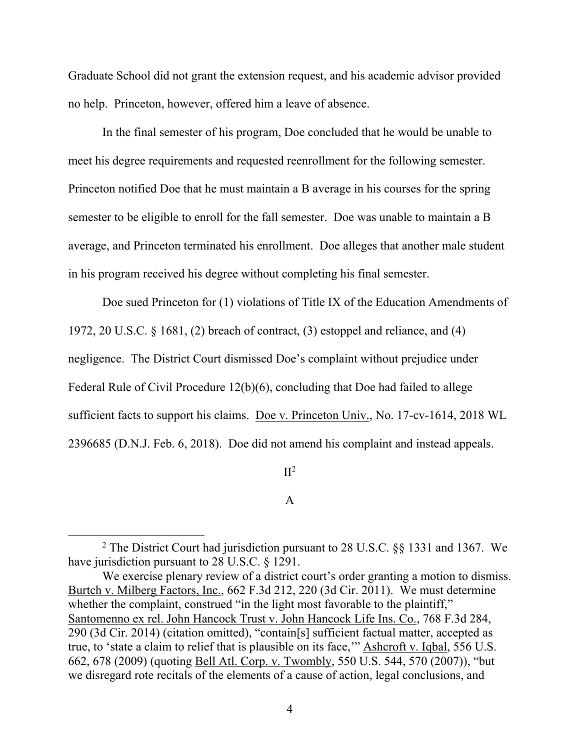Graduate School did not grant the extension request, and his academic advisor provided no help. Princeton, however, offered him a leave of absence.

In the final semester of his program, Doe concluded that he would be unable to meet his degree requirements and requested reenrollment for the following semester. Princeton notified Doe that he must maintain a B average in his courses for the spring semester to be eligible to enroll for the fall semester. Doe was unable to maintain a B average, and Princeton terminated his enrollment. Doe alleges that another male student in his program received his degree without completing his final semester.

Doe sued Princeton for (1) violations of Title IX of the Education Amendments of 1972, 20 U.S.C. § 1681, (2) breach of contract, (3) estoppel and reliance, and (4) negligence. The District Court dismissed Doe's complaint without prejudice under Federal Rule of Civil Procedure 12(b)(6), concluding that Doe had failed to allege sufficient facts to support his claims. Doe v. Princeton Univ., No. 17-cv-1614, 2018 WL 2396685 (D.N.J. Feb. 6, 2018). Doe did not amend his complaint and instead appeals.

 $\mathrm{II}^2$ 

A

<sup>2</sup> The District Court had jurisdiction pursuant to 28 U.S.C. §§ 1331 and 1367. We have jurisdiction pursuant to 28 U.S.C. § 1291.

We exercise plenary review of a district court's order granting a motion to dismiss. Burtch v. Milberg Factors, Inc., 662 F.3d 212, 220 (3d Cir. 2011). We must determine whether the complaint, construed "in the light most favorable to the plaintiff," Santomenno ex rel. John Hancock Trust v. John Hancock Life Ins. Co., 768 F.3d 284, 290 (3d Cir. 2014) (citation omitted), "contain[s] sufficient factual matter, accepted as true, to 'state a claim to relief that is plausible on its face,'" Ashcroft v. Iqbal, 556 U.S. 662, 678 (2009) (quoting Bell Atl. Corp. v. Twombly, 550 U.S. 544, 570 (2007)), "but we disregard rote recitals of the elements of a cause of action, legal conclusions, and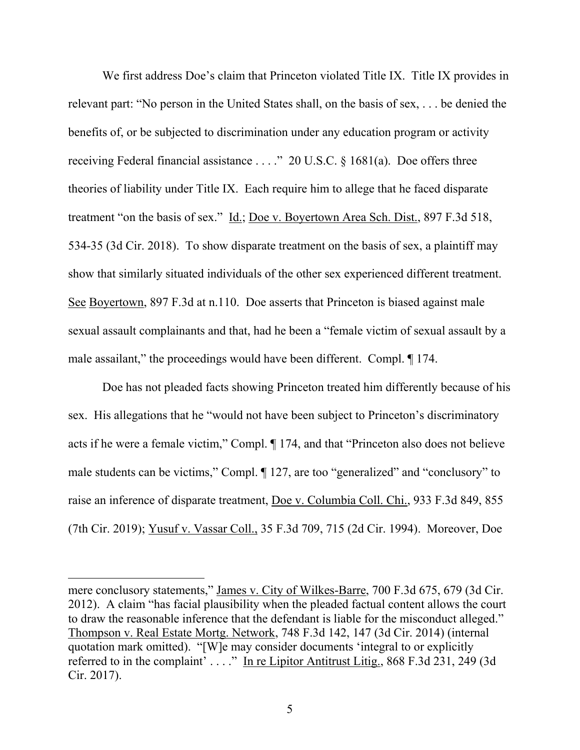We first address Doe's claim that Princeton violated Title IX. Title IX provides in relevant part: "No person in the United States shall, on the basis of sex, . . . be denied the benefits of, or be subjected to discrimination under any education program or activity receiving Federal financial assistance . . . ." 20 U.S.C. § 1681(a). Doe offers three theories of liability under Title IX. Each require him to allege that he faced disparate treatment "on the basis of sex." Id.; Doe v. Boyertown Area Sch. Dist., 897 F.3d 518, 534-35 (3d Cir. 2018). To show disparate treatment on the basis of sex, a plaintiff may show that similarly situated individuals of the other sex experienced different treatment. See Boyertown, 897 F.3d at n.110. Doe asserts that Princeton is biased against male sexual assault complainants and that, had he been a "female victim of sexual assault by a male assailant," the proceedings would have been different. Compl.  $\llbracket$  174.

Doe has not pleaded facts showing Princeton treated him differently because of his sex. His allegations that he "would not have been subject to Princeton's discriminatory acts if he were a female victim," Compl. ¶ 174, and that "Princeton also does not believe male students can be victims," Compl. ¶ 127, are too "generalized" and "conclusory" to raise an inference of disparate treatment, Doe v. Columbia Coll. Chi., 933 F.3d 849, 855 (7th Cir. 2019); Yusuf v. Vassar Coll., 35 F.3d 709, 715 (2d Cir. 1994). Moreover, Doe

mere conclusory statements," James v. City of Wilkes-Barre, 700 F.3d 675, 679 (3d Cir. 2012). A claim "has facial plausibility when the pleaded factual content allows the court to draw the reasonable inference that the defendant is liable for the misconduct alleged." Thompson v. Real Estate Mortg. Network, 748 F.3d 142, 147 (3d Cir. 2014) (internal quotation mark omitted). "[W]e may consider documents 'integral to or explicitly referred to in the complaint' . . . ." In re Lipitor Antitrust Litig., 868 F.3d 231, 249 (3d Cir. 2017).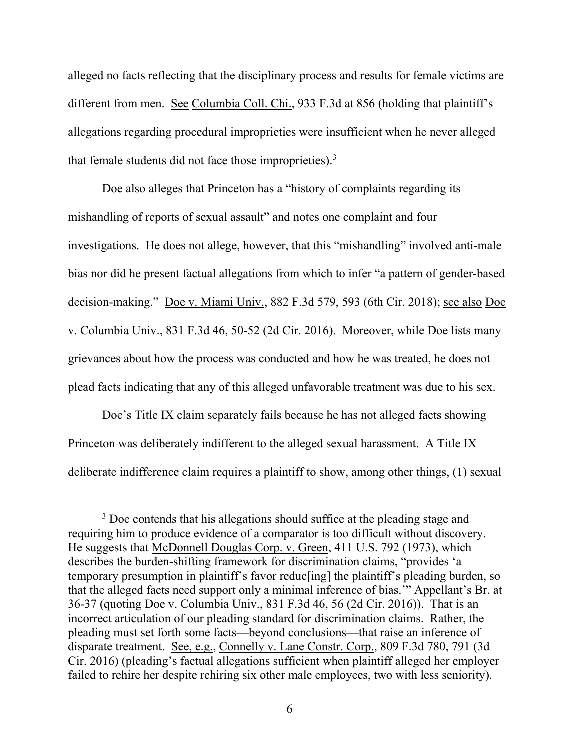alleged no facts reflecting that the disciplinary process and results for female victims are different from men. See Columbia Coll. Chi., 933 F.3d at 856 (holding that plaintiff's allegations regarding procedural improprieties were insufficient when he never alleged that female students did not face those improprieties).<sup>3</sup>

Doe also alleges that Princeton has a "history of complaints regarding its mishandling of reports of sexual assault" and notes one complaint and four investigations. He does not allege, however, that this "mishandling" involved anti-male bias nor did he present factual allegations from which to infer "a pattern of gender-based decision-making." Doe v. Miami Univ., 882 F.3d 579, 593 (6th Cir. 2018); see also Doe v. Columbia Univ., 831 F.3d 46, 50-52 (2d Cir. 2016). Moreover, while Doe lists many grievances about how the process was conducted and how he was treated, he does not plead facts indicating that any of this alleged unfavorable treatment was due to his sex.

Doe's Title IX claim separately fails because he has not alleged facts showing Princeton was deliberately indifferent to the alleged sexual harassment. A Title IX deliberate indifference claim requires a plaintiff to show, among other things, (1) sexual

<sup>&</sup>lt;sup>3</sup> Doe contends that his allegations should suffice at the pleading stage and requiring him to produce evidence of a comparator is too difficult without discovery. He suggests that McDonnell Douglas Corp. v. Green, 411 U.S. 792 (1973), which describes the burden-shifting framework for discrimination claims, "provides 'a temporary presumption in plaintiff's favor reduc[ing] the plaintiff's pleading burden, so that the alleged facts need support only a minimal inference of bias.'" Appellant's Br. at 36-37 (quoting Doe v. Columbia Univ., 831 F.3d 46, 56 (2d Cir. 2016)). That is an incorrect articulation of our pleading standard for discrimination claims. Rather, the pleading must set forth some facts—beyond conclusions—that raise an inference of disparate treatment. See, e.g., Connelly v. Lane Constr. Corp., 809 F.3d 780, 791 (3d Cir. 2016) (pleading's factual allegations sufficient when plaintiff alleged her employer failed to rehire her despite rehiring six other male employees, two with less seniority).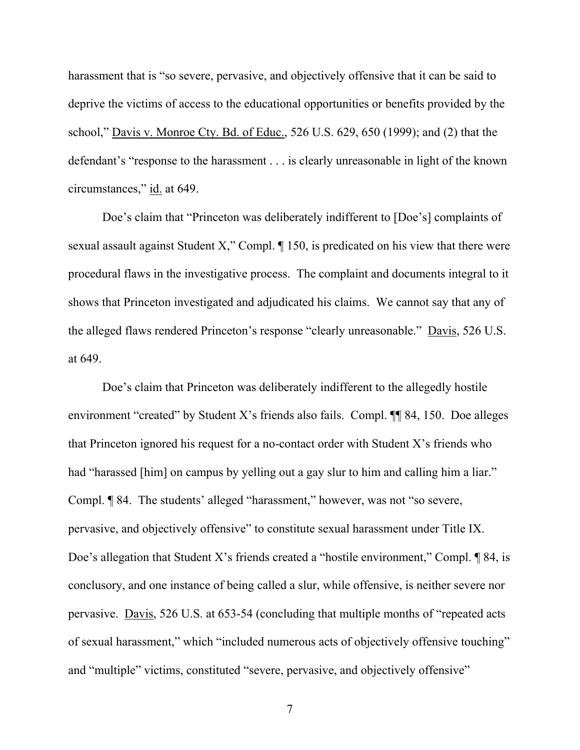harassment that is "so severe, pervasive, and objectively offensive that it can be said to deprive the victims of access to the educational opportunities or benefits provided by the school," Davis v. Monroe Cty. Bd. of Educ., 526 U.S. 629, 650 (1999); and (2) that the defendant's "response to the harassment . . . is clearly unreasonable in light of the known circumstances," id. at 649.

Doe's claim that "Princeton was deliberately indifferent to [Doe's] complaints of sexual assault against Student X," Compl. ¶ 150, is predicated on his view that there were procedural flaws in the investigative process. The complaint and documents integral to it shows that Princeton investigated and adjudicated his claims. We cannot say that any of the alleged flaws rendered Princeton's response "clearly unreasonable." Davis, 526 U.S. at 649.

Doe's claim that Princeton was deliberately indifferent to the allegedly hostile environment "created" by Student X's friends also fails. Compl. ¶¶ 84, 150. Doe alleges that Princeton ignored his request for a no-contact order with Student X's friends who had "harassed [him] on campus by yelling out a gay slur to him and calling him a liar." Compl. ¶ 84. The students' alleged "harassment," however, was not "so severe, pervasive, and objectively offensive" to constitute sexual harassment under Title IX. Doe's allegation that Student X's friends created a "hostile environment," Compl. ¶ 84, is conclusory, and one instance of being called a slur, while offensive, is neither severe nor pervasive. Davis, 526 U.S. at 653-54 (concluding that multiple months of "repeated acts of sexual harassment," which "included numerous acts of objectively offensive touching" and "multiple" victims, constituted "severe, pervasive, and objectively offensive"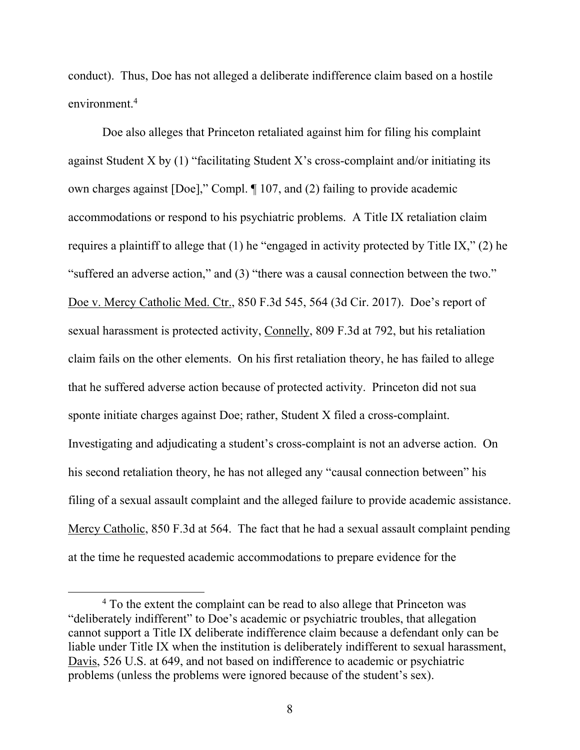conduct). Thus, Doe has not alleged a deliberate indifference claim based on a hostile environment. 4

Doe also alleges that Princeton retaliated against him for filing his complaint against Student X by  $(1)$  "facilitating Student X's cross-complaint and/or initiating its own charges against [Doe]," Compl. ¶ 107, and (2) failing to provide academic accommodations or respond to his psychiatric problems. A Title IX retaliation claim requires a plaintiff to allege that (1) he "engaged in activity protected by Title IX," (2) he "suffered an adverse action," and (3) "there was a causal connection between the two." Doe v. Mercy Catholic Med. Ctr., 850 F.3d 545, 564 (3d Cir. 2017). Doe's report of sexual harassment is protected activity, Connelly, 809 F.3d at 792, but his retaliation claim fails on the other elements. On his first retaliation theory, he has failed to allege that he suffered adverse action because of protected activity. Princeton did not sua sponte initiate charges against Doe; rather, Student X filed a cross-complaint. Investigating and adjudicating a student's cross-complaint is not an adverse action. On his second retaliation theory, he has not alleged any "causal connection between" his filing of a sexual assault complaint and the alleged failure to provide academic assistance. Mercy Catholic, 850 F.3d at 564. The fact that he had a sexual assault complaint pending at the time he requested academic accommodations to prepare evidence for the

<sup>4</sup> To the extent the complaint can be read to also allege that Princeton was "deliberately indifferent" to Doe's academic or psychiatric troubles, that allegation cannot support a Title IX deliberate indifference claim because a defendant only can be liable under Title IX when the institution is deliberately indifferent to sexual harassment, Davis, 526 U.S. at 649, and not based on indifference to academic or psychiatric problems (unless the problems were ignored because of the student's sex).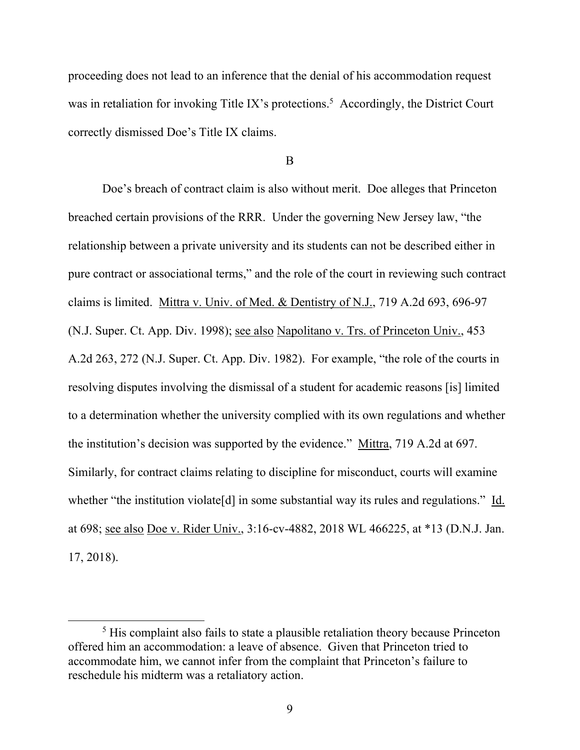proceeding does not lead to an inference that the denial of his accommodation request was in retaliation for invoking Title IX's protections.<sup>5</sup> Accordingly, the District Court correctly dismissed Doe's Title IX claims.

B

Doe's breach of contract claim is also without merit. Doe alleges that Princeton breached certain provisions of the RRR. Under the governing New Jersey law, "the relationship between a private university and its students can not be described either in pure contract or associational terms," and the role of the court in reviewing such contract claims is limited. Mittra v. Univ. of Med. & Dentistry of N.J., 719 A.2d 693, 696-97 (N.J. Super. Ct. App. Div. 1998); see also Napolitano v. Trs. of Princeton Univ., 453 A.2d 263, 272 (N.J. Super. Ct. App. Div. 1982). For example, "the role of the courts in resolving disputes involving the dismissal of a student for academic reasons [is] limited to a determination whether the university complied with its own regulations and whether the institution's decision was supported by the evidence." Mittra, 719 A.2d at 697. Similarly, for contract claims relating to discipline for misconduct, courts will examine whether "the institution violate<sup>[d]</sup> in some substantial way its rules and regulations." Id. at 698; see also Doe v. Rider Univ., 3:16-cv-4882, 2018 WL 466225, at \*13 (D.N.J. Jan. 17, 2018).

<sup>&</sup>lt;sup>5</sup> His complaint also fails to state a plausible retaliation theory because Princeton offered him an accommodation: a leave of absence. Given that Princeton tried to accommodate him, we cannot infer from the complaint that Princeton's failure to reschedule his midterm was a retaliatory action.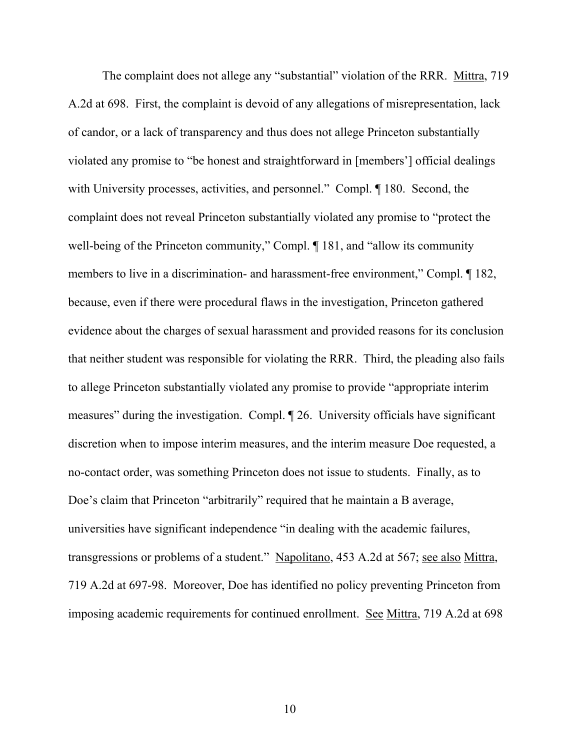The complaint does not allege any "substantial" violation of the RRR. Mittra, 719 A.2d at 698. First, the complaint is devoid of any allegations of misrepresentation, lack of candor, or a lack of transparency and thus does not allege Princeton substantially violated any promise to "be honest and straightforward in [members'] official dealings with University processes, activities, and personnel." Compl.  $\P$  180. Second, the complaint does not reveal Princeton substantially violated any promise to "protect the well-being of the Princeton community," Compl.  $\P$  181, and "allow its community members to live in a discrimination- and harassment-free environment," Compl.  $\P$  182, because, even if there were procedural flaws in the investigation, Princeton gathered evidence about the charges of sexual harassment and provided reasons for its conclusion that neither student was responsible for violating the RRR. Third, the pleading also fails to allege Princeton substantially violated any promise to provide "appropriate interim measures" during the investigation. Compl. ¶ 26. University officials have significant discretion when to impose interim measures, and the interim measure Doe requested, a no-contact order, was something Princeton does not issue to students. Finally, as to Doe's claim that Princeton "arbitrarily" required that he maintain a B average, universities have significant independence "in dealing with the academic failures, transgressions or problems of a student." Napolitano, 453 A.2d at 567; see also Mittra, 719 A.2d at 697-98. Moreover, Doe has identified no policy preventing Princeton from imposing academic requirements for continued enrollment. See Mittra, 719 A.2d at 698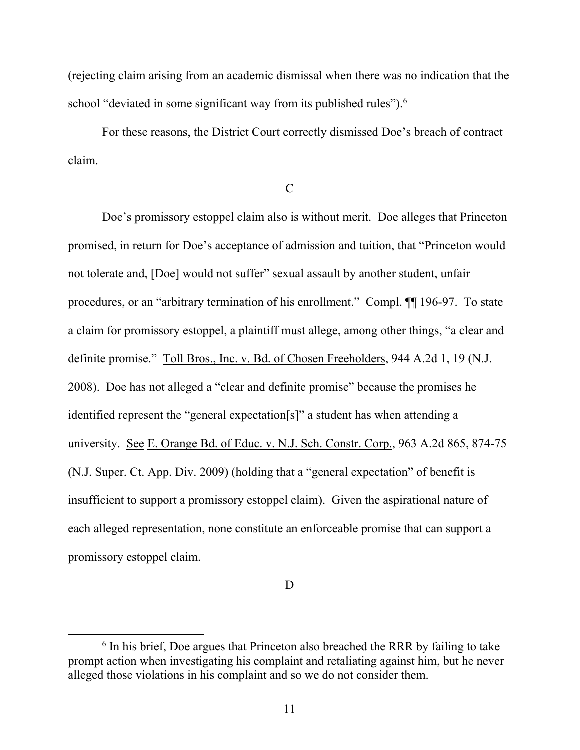(rejecting claim arising from an academic dismissal when there was no indication that the school "deviated in some significant way from its published rules").<sup>6</sup>

For these reasons, the District Court correctly dismissed Doe's breach of contract claim.

C

Doe's promissory estoppel claim also is without merit. Doe alleges that Princeton promised, in return for Doe's acceptance of admission and tuition, that "Princeton would not tolerate and, [Doe] would not suffer" sexual assault by another student, unfair procedures, or an "arbitrary termination of his enrollment." Compl. ¶¶ 196-97. To state a claim for promissory estoppel, a plaintiff must allege, among other things, "a clear and definite promise." Toll Bros., Inc. v. Bd. of Chosen Freeholders, 944 A.2d 1, 19 (N.J. 2008). Doe has not alleged a "clear and definite promise" because the promises he identified represent the "general expectation[s]" a student has when attending a university. See E. Orange Bd. of Educ. v. N.J. Sch. Constr. Corp., 963 A.2d 865, 874-75 (N.J. Super. Ct. App. Div. 2009) (holding that a "general expectation" of benefit is insufficient to support a promissory estoppel claim). Given the aspirational nature of each alleged representation, none constitute an enforceable promise that can support a promissory estoppel claim.

D

<sup>&</sup>lt;sup>6</sup> In his brief, Doe argues that Princeton also breached the RRR by failing to take prompt action when investigating his complaint and retaliating against him, but he never alleged those violations in his complaint and so we do not consider them.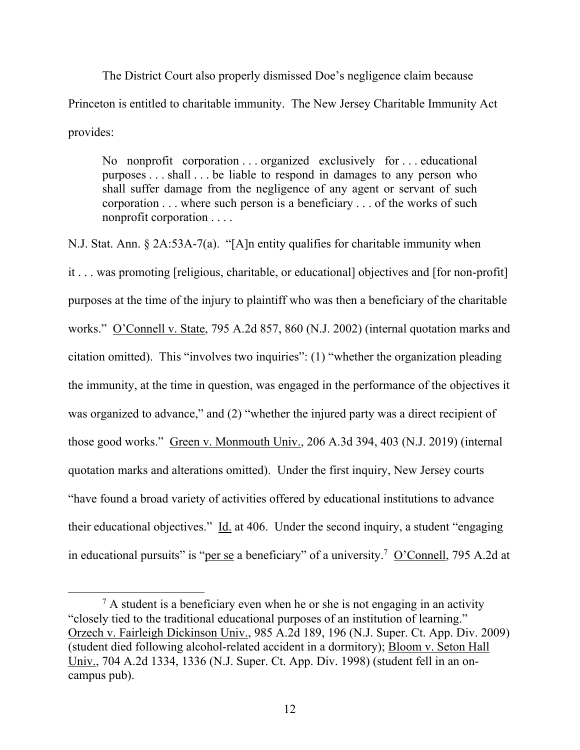The District Court also properly dismissed Doe's negligence claim because Princeton is entitled to charitable immunity. The New Jersey Charitable Immunity Act provides:

No nonprofit corporation . . . organized exclusively for . . . educational purposes . . . shall . . . be liable to respond in damages to any person who shall suffer damage from the negligence of any agent or servant of such corporation . . . where such person is a beneficiary . . . of the works of such nonprofit corporation . . . .

N.J. Stat. Ann. § 2A:53A-7(a). "[A]n entity qualifies for charitable immunity when it . . . was promoting [religious, charitable, or educational] objectives and [for non-profit] purposes at the time of the injury to plaintiff who was then a beneficiary of the charitable works." O'Connell v. State, 795 A.2d 857, 860 (N.J. 2002) (internal quotation marks and citation omitted). This "involves two inquiries": (1) "whether the organization pleading the immunity, at the time in question, was engaged in the performance of the objectives it was organized to advance," and (2) "whether the injured party was a direct recipient of those good works." Green v. Monmouth Univ., 206 A.3d 394, 403 (N.J. 2019) (internal quotation marks and alterations omitted). Under the first inquiry, New Jersey courts "have found a broad variety of activities offered by educational institutions to advance their educational objectives." Id. at 406. Under the second inquiry, a student "engaging in educational pursuits" is "per se a beneficiary" of a university.<sup>7</sup> O'Connell, 795 A.2d at

 $<sup>7</sup>$  A student is a beneficiary even when he or she is not engaging in an activity</sup> "closely tied to the traditional educational purposes of an institution of learning." Orzech v. Fairleigh Dickinson Univ., 985 A.2d 189, 196 (N.J. Super. Ct. App. Div. 2009) (student died following alcohol-related accident in a dormitory); Bloom v. Seton Hall Univ., 704 A.2d 1334, 1336 (N.J. Super. Ct. App. Div. 1998) (student fell in an oncampus pub).